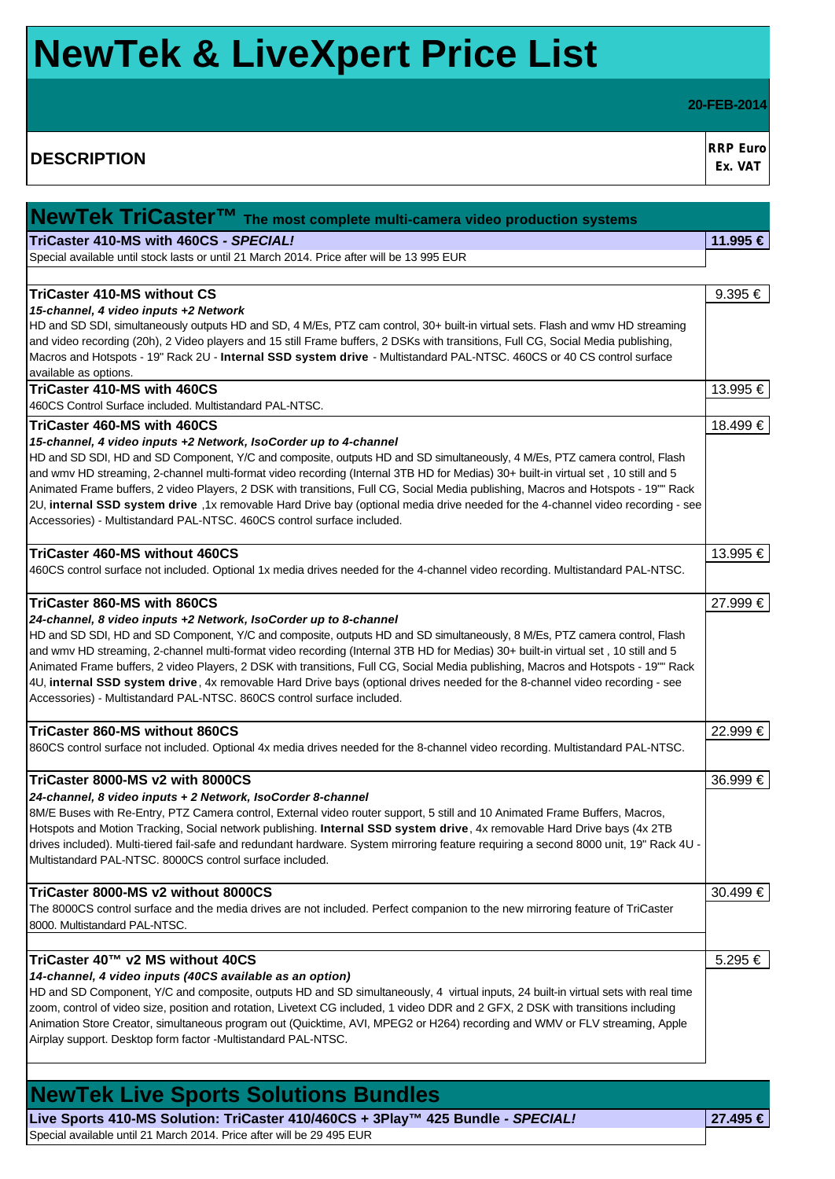# **NewTek & LiveXpert Price List**

**20-FEB-2014**

**DESCRIPTION RRP** Euro **RRP** Euro **Ex. VAT**

| $\sqrt{\text{NewTek}}$ TriCaster <sup>TM</sup> The most complete multi-camera video production systems                                                                                          |          |
|-------------------------------------------------------------------------------------------------------------------------------------------------------------------------------------------------|----------|
| TriCaster 410-MS with 460CS - SPECIAL!                                                                                                                                                          | 11.995 € |
| Special available until stock lasts or until 21 March 2014. Price after will be 13 995 EUR                                                                                                      |          |
|                                                                                                                                                                                                 |          |
| <b>TriCaster 410-MS without CS</b>                                                                                                                                                              | 9.395 €  |
| 15-channel, 4 video inputs +2 Network                                                                                                                                                           |          |
| HD and SD SDI, simultaneously outputs HD and SD, 4 M/Es, PTZ cam control, 30+ built-in virtual sets. Flash and wmv HD streaming                                                                 |          |
| and video recording (20h), 2 Video players and 15 still Frame buffers, 2 DSKs with transitions, Full CG, Social Media publishing,                                                               |          |
| Macros and Hotspots - 19" Rack 2U - Internal SSD system drive - Multistandard PAL-NTSC. 460CS or 40 CS control surface                                                                          |          |
| available as options.                                                                                                                                                                           |          |
| TriCaster 410-MS with 460CS                                                                                                                                                                     | 13.995 € |
| 460CS Control Surface included. Multistandard PAL-NTSC.                                                                                                                                         |          |
| TriCaster 460-MS with 460CS                                                                                                                                                                     | 18.499 € |
| 15-channel, 4 video inputs +2 Network, IsoCorder up to 4-channel                                                                                                                                |          |
| HD and SD SDI, HD and SD Component, Y/C and composite, outputs HD and SD simultaneously, 4 M/Es, PTZ camera control, Flash                                                                      |          |
| and wmv HD streaming, 2-channel multi-format video recording (Internal 3TB HD for Medias) 30+ built-in virtual set, 10 still and 5                                                              |          |
| Animated Frame buffers, 2 video Players, 2 DSK with transitions, Full CG, Social Media publishing, Macros and Hotspots - 19"" Rack                                                              |          |
| 2U, internal SSD system drive ,1x removable Hard Drive bay (optional media drive needed for the 4-channel video recording - see                                                                 |          |
| Accessories) - Multistandard PAL-NTSC. 460CS control surface included.                                                                                                                          |          |
|                                                                                                                                                                                                 |          |
| TriCaster 460-MS without 460CS                                                                                                                                                                  | 13.995 € |
| 460CS control surface not included. Optional 1x media drives needed for the 4-channel video recording. Multistandard PAL-NTSC.                                                                  |          |
| TriCaster 860-MS with 860CS                                                                                                                                                                     | 27.999 € |
| 24-channel, 8 video inputs +2 Network, IsoCorder up to 8-channel                                                                                                                                |          |
| HD and SD SDI, HD and SD Component, Y/C and composite, outputs HD and SD simultaneously, 8 M/Es, PTZ camera control, Flash                                                                      |          |
| and wmv HD streaming, 2-channel multi-format video recording (Internal 3TB HD for Medias) 30+ built-in virtual set, 10 still and 5                                                              |          |
| Animated Frame buffers, 2 video Players, 2 DSK with transitions, Full CG, Social Media publishing, Macros and Hotspots - 19"" Rack                                                              |          |
| 4U, internal SSD system drive, 4x removable Hard Drive bays (optional drives needed for the 8-channel video recording - see                                                                     |          |
| Accessories) - Multistandard PAL-NTSC. 860CS control surface included.                                                                                                                          |          |
|                                                                                                                                                                                                 |          |
| TriCaster 860-MS without 860CS                                                                                                                                                                  | 22.999 € |
| 860CS control surface not included. Optional 4x media drives needed for the 8-channel video recording. Multistandard PAL-NTSC.                                                                  |          |
| TriCaster 8000-MS v2 with 8000CS                                                                                                                                                                | 36.999 € |
| 24-channel, 8 video inputs + 2 Network, IsoCorder 8-channel                                                                                                                                     |          |
| 8M/E Buses with Re-Entry, PTZ Camera control, External video router support, 5 still and 10 Animated Frame Buffers, Macros,                                                                     |          |
| Hotspots and Motion Tracking, Social network publishing. Internal SSD system drive, 4x removable Hard Drive bays (4x 2TB                                                                        |          |
| drives included). Multi-tiered fail-safe and redundant hardware. System mirroring feature requiring a second 8000 unit, 19" Rack 4U -                                                           |          |
| Multistandard PAL-NTSC, 8000CS control surface included.                                                                                                                                        |          |
|                                                                                                                                                                                                 |          |
| TriCaster 8000-MS v2 without 8000CS                                                                                                                                                             | 30.499 € |
| The 8000CS control surface and the media drives are not included. Perfect companion to the new mirroring feature of TriCaster                                                                   |          |
| 8000. Multistandard PAL-NTSC.                                                                                                                                                                   |          |
|                                                                                                                                                                                                 |          |
| TriCaster 40™ v2 MS without 40CS                                                                                                                                                                | 5.295 €  |
| 14-channel, 4 video inputs (40CS available as an option)<br>HD and SD Component, Y/C and composite, outputs HD and SD simultaneously, 4 virtual inputs, 24 built-in virtual sets with real time |          |
| zoom, control of video size, position and rotation, Livetext CG included, 1 video DDR and 2 GFX, 2 DSK with transitions including                                                               |          |
| Animation Store Creator, simultaneous program out (Quicktime, AVI, MPEG2 or H264) recording and WMV or FLV streaming, Apple                                                                     |          |
| Airplay support. Desktop form factor -Multistandard PAL-NTSC.                                                                                                                                   |          |
|                                                                                                                                                                                                 |          |
|                                                                                                                                                                                                 |          |

**NewTek Live Sports Solutions Bundles Live Sports 410-MS Solution: TriCaster 410/460CS + 3Play™ 425 Bundle** *- SPECIAL!* **27.495 €**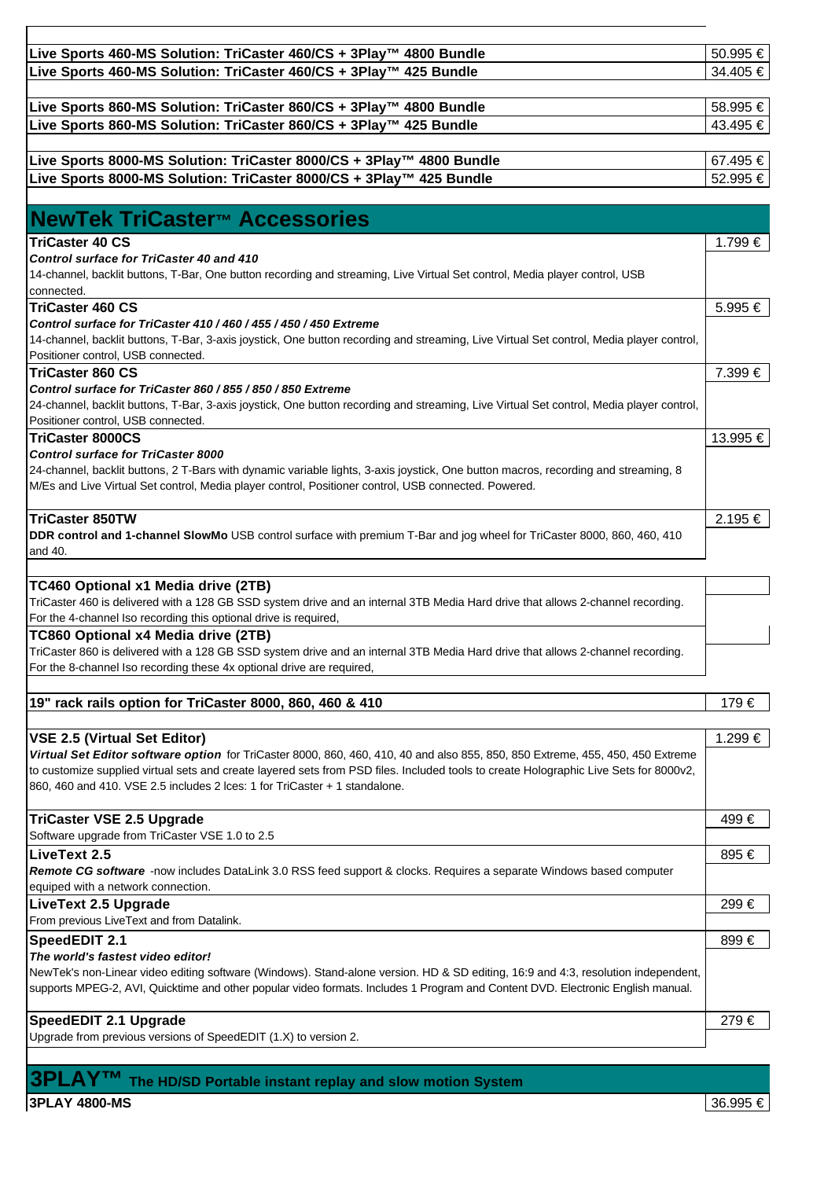| Live Sports 460-MS Solution: TriCaster 460/CS + 3Play™ 4800 Bundle                                                                                                             | 50.995 € |
|--------------------------------------------------------------------------------------------------------------------------------------------------------------------------------|----------|
| Live Sports 460-MS Solution: TriCaster 460/CS + 3Play™ 425 Bundle                                                                                                              | 34.405 € |
|                                                                                                                                                                                |          |
| Live Sports 860-MS Solution: TriCaster 860/CS + 3Play™ 4800 Bundle                                                                                                             | 58.995 € |
| Live Sports 860-MS Solution: TriCaster 860/CS + 3Play™ 425 Bundle                                                                                                              | 43.495 € |
|                                                                                                                                                                                |          |
| Live Sports 8000-MS Solution: TriCaster 8000/CS + 3Play™ 4800 Bundle                                                                                                           | 67.495 € |
| Live Sports 8000-MS Solution: TriCaster 8000/CS + 3Play™ 425 Bundle                                                                                                            | 52.995 € |
|                                                                                                                                                                                |          |
| <b>NewTek TriCaster™ Accessories</b>                                                                                                                                           |          |
| <b>TriCaster 40 CS</b>                                                                                                                                                         | 1.799 €  |
| Control surface for TriCaster 40 and 410                                                                                                                                       |          |
| 14-channel, backlit buttons, T-Bar, One button recording and streaming, Live Virtual Set control, Media player control, USB<br>connected.                                      |          |
| <b>TriCaster 460 CS</b>                                                                                                                                                        | 5.995 €  |
| Control surface for TriCaster 410 / 460 / 455 / 450 / 450 Extreme                                                                                                              |          |
| 14-channel, backlit buttons, T-Bar, 3-axis joystick, One button recording and streaming, Live Virtual Set control, Media player control,                                       |          |
| Positioner control, USB connected.                                                                                                                                             |          |
| TriCaster 860 CS                                                                                                                                                               | 7.399 €  |
| Control surface for TriCaster 860 / 855 / 850 / 850 Extreme                                                                                                                    |          |
| 24-channel, backlit buttons, T-Bar, 3-axis joystick, One button recording and streaming, Live Virtual Set control, Media player control,<br>Positioner control, USB connected. |          |
| <b>TriCaster 8000CS</b>                                                                                                                                                        | 13.995 € |
| <b>Control surface for TriCaster 8000</b>                                                                                                                                      |          |
| 24-channel, backlit buttons, 2 T-Bars with dynamic variable lights, 3-axis joystick, One button macros, recording and streaming, 8                                             |          |
| M/Es and Live Virtual Set control, Media player control, Positioner control, USB connected. Powered.                                                                           |          |
|                                                                                                                                                                                |          |
| <b>TriCaster 850TW</b><br>DDR control and 1-channel SlowMo USB control surface with premium T-Bar and jog wheel for TriCaster 8000, 860, 460, 410                              | 2.195 €  |
| and 40.                                                                                                                                                                        |          |
|                                                                                                                                                                                |          |
| TC460 Optional x1 Media drive (2TB)                                                                                                                                            |          |
| TriCaster 460 is delivered with a 128 GB SSD system drive and an internal 3TB Media Hard drive that allows 2-channel recording.                                                |          |
| For the 4-channel Iso recording this optional drive is required,                                                                                                               |          |
| TC860 Optional x4 Media drive (2TB)                                                                                                                                            |          |
| TriCaster 860 is delivered with a 128 GB SSD system drive and an internal 3TB Media Hard drive that allows 2-channel recording.                                                |          |
| For the 8-channel Iso recording these 4x optional drive are required,                                                                                                          |          |
| 19" rack rails option for TriCaster 8000, 860, 460 & 410                                                                                                                       | 179€     |
|                                                                                                                                                                                |          |
| <b>VSE 2.5 (Virtual Set Editor)</b>                                                                                                                                            | 1.299 €  |
| Virtual Set Editor software option for TriCaster 8000, 860, 460, 410, 40 and also 855, 850, 850 Extreme, 455, 450, 450 Extreme                                                 |          |
| to customize supplied virtual sets and create layered sets from PSD files. Included tools to create Holographic Live Sets for 8000v2,                                          |          |
| 860, 460 and 410. VSE 2.5 includes 2 lces: 1 for TriCaster + 1 standalone.                                                                                                     |          |
| <b>TriCaster VSE 2.5 Upgrade</b>                                                                                                                                               | 499€     |
|                                                                                                                                                                                |          |
| Software upgrade from TriCaster VSE 1.0 to 2.5                                                                                                                                 | 895 €    |
|                                                                                                                                                                                |          |
| LiveText 2.5<br>Remote CG software -now includes DataLink 3.0 RSS feed support & clocks. Requires a separate Windows based computer                                            |          |
| equiped with a network connection.                                                                                                                                             |          |
| <b>LiveText 2.5 Upgrade</b>                                                                                                                                                    | 299 €    |
| From previous LiveText and from Datalink.                                                                                                                                      |          |
| <b>SpeedEDIT 2.1</b>                                                                                                                                                           | 899€     |
| The world's fastest video editor!                                                                                                                                              |          |
| NewTek's non-Linear video editing software (Windows). Stand-alone version. HD & SD editing, 16:9 and 4:3, resolution independent,                                              |          |
| supports MPEG-2, AVI, Quicktime and other popular video formats. Includes 1 Program and Content DVD. Electronic English manual.                                                |          |
| SpeedEDIT 2.1 Upgrade                                                                                                                                                          | 279€     |

**3PLAY™ The HD/SD Portable instant replay and slow motion System**

**3PLAY 4800-MS** 36.995 €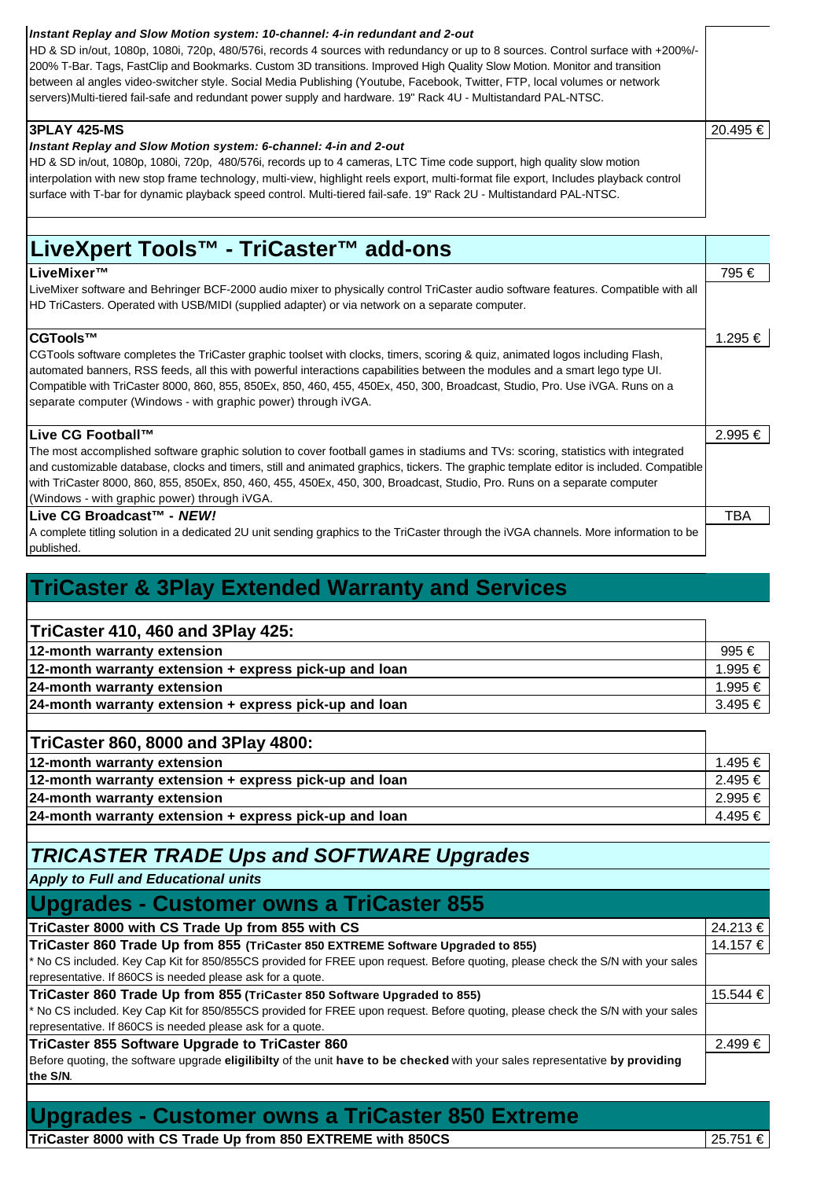| Instant Replay and Slow Motion system: 10-channel: 4-in redundant and 2-out<br>HD & SD in/out, 1080p, 1080i, 720p, 480/576i, records 4 sources with redundancy or up to 8 sources. Control surface with +200%/-<br>200% T-Bar. Tags, FastClip and Bookmarks. Custom 3D transitions. Improved High Quality Slow Motion. Monitor and transition<br>between al angles video-switcher style. Social Media Publishing (Youtube, Facebook, Twitter, FTP, local volumes or network<br>servers)Multi-tiered fail-safe and redundant power supply and hardware. 19" Rack 4U - Multistandard PAL-NTSC. |          |
|----------------------------------------------------------------------------------------------------------------------------------------------------------------------------------------------------------------------------------------------------------------------------------------------------------------------------------------------------------------------------------------------------------------------------------------------------------------------------------------------------------------------------------------------------------------------------------------------|----------|
| 3PLAY 425-MS<br>Instant Replay and Slow Motion system: 6-channel: 4-in and 2-out<br>HD & SD in/out, 1080p, 1080i, 720p, 480/576i, records up to 4 cameras, LTC Time code support, high quality slow motion<br>interpolation with new stop frame technology, multi-view, highlight reels export, multi-format file export, Includes playback control<br>surface with T-bar for dynamic playback speed control. Multi-tiered fail-safe. 19" Rack 2U - Multistandard PAL-NTSC.                                                                                                                  | 20.495 € |

## **LiveXpert Tools™ - TriCaster™ add-ons**

#### **LiveMixer™** 795 €

LiveMixer software and Behringer BCF-2000 audio mixer to physically control TriCaster audio software features. Compatible with all HD TriCasters. Operated with USB/MIDI (supplied adapter) or via network on a separate computer.

#### **CGTools™** 1.295 €

CGTools software completes the TriCaster graphic toolset with clocks, timers, scoring & quiz, animated logos including Flash, automated banners, RSS feeds, all this with powerful interactions capabilities between the modules and a smart lego type UI. Compatible with TriCaster 8000, 860, 855, 850Ex, 850, 460, 455, 450Ex, 450, 300, Broadcast, Studio, Pro. Use iVGA. Runs on a separate computer (Windows - with graphic power) through iVGA.

#### **Live CG Football™** 2.995 €

The most accomplished software graphic solution to cover football games in stadiums and TVs: scoring, statistics with integrated and customizable database, clocks and timers, still and animated graphics, tickers. The graphic template editor is included. Compatible with TriCaster 8000, 860, 855, 850Ex, 850, 460, 455, 450Ex, 450, 300, Broadcast, Studio, Pro. Runs on a separate computer (Windows - with graphic power) through iVGA. **Live CG Broadcast™ -** *NEW!* TBA

A complete titling solution in a dedicated 2U unit sending graphics to the TriCaster through the iVGA channels. More information to be published.

#### **TriCaster & 3Play Extended Warranty and Services**

#### **TriCaster 410, 460 and 3Play 425:**

| $\blacksquare$ $\blacksquare$ $\blacksquare$ $\blacksquare$ $\blacksquare$ $\blacksquare$ $\blacksquare$ $\blacksquare$ $\blacksquare$ $\blacksquare$ $\blacksquare$ $\blacksquare$ $\blacksquare$ $\blacksquare$ $\blacksquare$ $\blacksquare$ $\blacksquare$ $\blacksquare$ $\blacksquare$ $\blacksquare$ $\blacksquare$ $\blacksquare$ $\blacksquare$ $\blacksquare$ $\blacksquare$ $\blacksquare$ $\blacksquare$ $\blacksquare$ $\blacksquare$ $\blacksquare$ $\blacksquare$ $\blacks$ |             |
|--------------------------------------------------------------------------------------------------------------------------------------------------------------------------------------------------------------------------------------------------------------------------------------------------------------------------------------------------------------------------------------------------------------------------------------------------------------------------------------------|-------------|
| 12-month warranty extension                                                                                                                                                                                                                                                                                                                                                                                                                                                                | 995 €       |
| 12-month warranty extension + express pick-up and loan                                                                                                                                                                                                                                                                                                                                                                                                                                     | 1.995 € 1   |
| 24-month warranty extension                                                                                                                                                                                                                                                                                                                                                                                                                                                                | 1.995 €     |
| 24-month warranty extension + express pick-up and loan                                                                                                                                                                                                                                                                                                                                                                                                                                     | $3.495 \in$ |
|                                                                                                                                                                                                                                                                                                                                                                                                                                                                                            |             |

#### **TriCaster 860, 8000 and 3Play 4800:**

| 12-month warranty extension                            | 1.495 €       |
|--------------------------------------------------------|---------------|
| 12-month warranty extension + express pick-up and loan | $2.495 \in I$ |
| 24-month warranty extension                            | 2.995 €       |
| 24-month warranty extension + express pick-up and loan | 4.495 €       |
|                                                        |               |

#### *TRICASTER TRADE Ups and SOFTWARE Upgrades*

*Apply to Full and Educational units*

| Upgrades - Customer owns a TriCaster 855                                                                                         |          |
|----------------------------------------------------------------------------------------------------------------------------------|----------|
| TriCaster 8000 with CS Trade Up from 855 with CS                                                                                 | 24.213 € |
| TriCaster 860 Trade Up from 855 (TriCaster 850 EXTREME Software Upgraded to 855)                                                 | 14.157 € |
| * No CS included. Key Cap Kit for 850/855CS provided for FREE upon request. Before quoting, please check the S/N with your sales |          |
| representative. If 860CS is needed please ask for a quote.                                                                       |          |
| TriCaster 860 Trade Up from 855 (TriCaster 850 Software Upgraded to 855)                                                         | 15.544 € |
| * No CS included. Key Cap Kit for 850/855CS provided for FREE upon request. Before quoting, please check the S/N with your sales |          |
| representative. If 860CS is needed please ask for a quote.                                                                       |          |
| TriCaster 855 Software Upgrade to TriCaster 860                                                                                  | 2.499 €  |
| Before quoting, the software upgrade eligilibilty of the unit have to be checked with your sales representative by providing     |          |
| the S/N.                                                                                                                         |          |

#### **Upgrades - Customer owns a TriCaster 850 Extreme**

**TriCaster 8000 with CS Trade Up from 850 EXTREME with 850CS** 25.751 €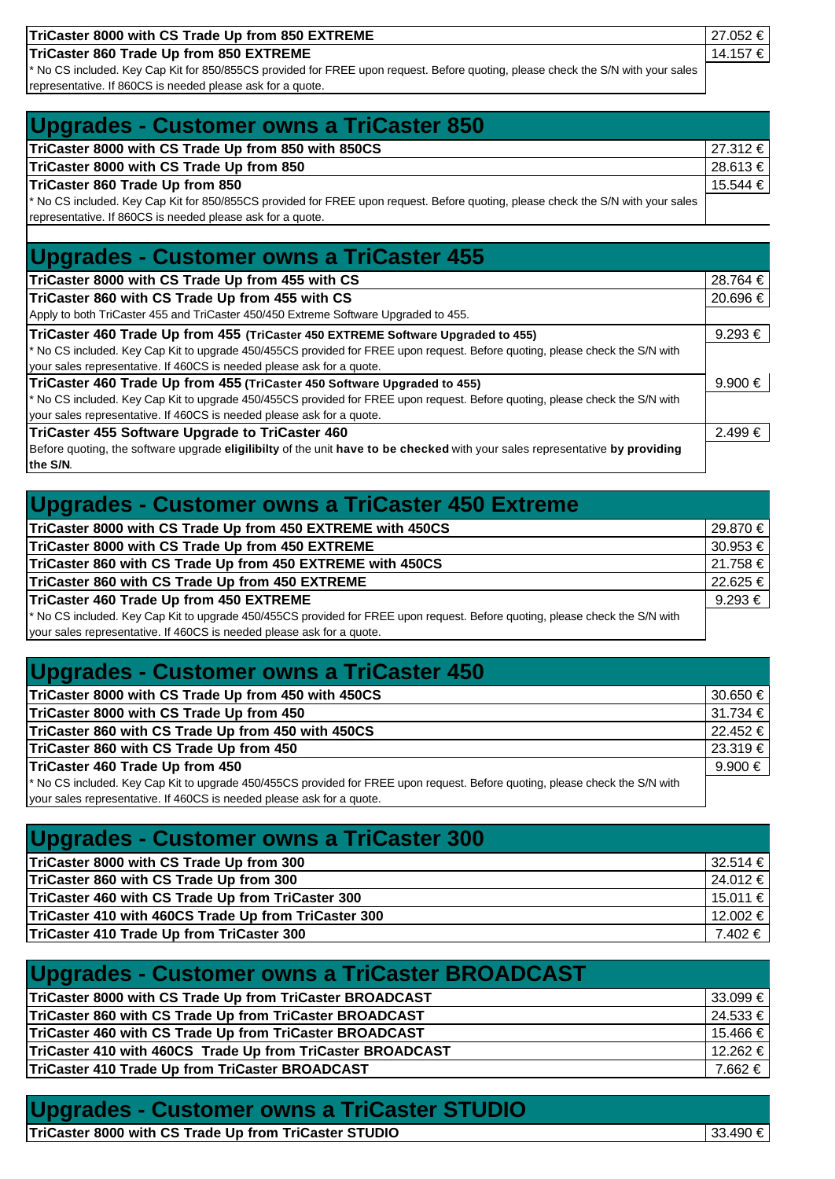| TriCaster 8000 with CS Trade Up from 850 EXTREME                                                                                 | 27.052 € |
|----------------------------------------------------------------------------------------------------------------------------------|----------|
| TriCaster 860 Trade Up from 850 EXTREME                                                                                          | 14.157 € |
| * No CS included. Key Cap Kit for 850/855CS provided for FREE upon request. Before quoting, please check the S/N with your sales |          |
| representative. If 860CS is needed please ask for a quote.                                                                       |          |

### **Upgrades - Customer owns a TriCaster 850**

| TriCaster 8000 with CS Trade Up from 850 with 850CS                                                                              | 27.312 €     |
|----------------------------------------------------------------------------------------------------------------------------------|--------------|
| TriCaster 8000 with CS Trade Up from 850                                                                                         | $28.613 \in$ |
| TriCaster 860 Trade Up from 850                                                                                                  | 15.544 €     |
| * No CS included. Key Cap Kit for 850/855CS provided for FREE upon request. Before quoting, please check the S/N with your sales |              |
| representative. If 860CS is needed please ask for a quote.                                                                       |              |

#### **Upgrades - Customer owns a TriCaster 455**

| TriCaster 8000 with CS Trade Up from 455 with CS                                                                             | 28.764 €    |
|------------------------------------------------------------------------------------------------------------------------------|-------------|
| TriCaster 860 with CS Trade Up from 455 with CS                                                                              | 20.696 €    |
| Apply to both TriCaster 455 and TriCaster 450/450 Extreme Software Upgraded to 455.                                          |             |
| TriCaster 460 Trade Up from 455 (TriCaster 450 EXTREME Software Upgraded to 455)                                             | $9.293 \in$ |
| * No CS included. Key Cap Kit to upgrade 450/455CS provided for FREE upon request. Before quoting, please check the S/N with |             |
| your sales representative. If 460CS is needed please ask for a quote.                                                        |             |
| TriCaster 460 Trade Up from 455 (TriCaster 450 Software Upgraded to 455)                                                     | 9.900 €     |
| * No CS included. Key Cap Kit to upgrade 450/455CS provided for FREE upon request. Before quoting, please check the S/N with |             |
| your sales representative. If 460CS is needed please ask for a quote.                                                        |             |
| TriCaster 455 Software Upgrade to TriCaster 460                                                                              | $2.499 \in$ |
| Before quoting, the software upgrade eligilibilty of the unit have to be checked with your sales representative by providing |             |
| the S/N.                                                                                                                     |             |

| <b>Upgrades - Customer owns a TriCaster 450 Extreme</b>                                                                      |              |
|------------------------------------------------------------------------------------------------------------------------------|--------------|
| TriCaster 8000 with CS Trade Up from 450 EXTREME with 450CS                                                                  | 29.870 €     |
| TriCaster 8000 with CS Trade Up from 450 EXTREME                                                                             | $30.953 \in$ |
| TriCaster 860 with CS Trade Up from 450 EXTREME with 450CS                                                                   | 21.758 €     |
| TriCaster 860 with CS Trade Up from 450 EXTREME                                                                              | 22.625 €     |
| TriCaster 460 Trade Up from 450 EXTREME                                                                                      | $9.293 \in$  |
| * No CS included. Key Cap Kit to upgrade 450/455CS provided for FREE upon request. Before quoting, please check the S/N with |              |
| your sales representative. If 460CS is needed please ask for a quote.                                                        |              |

## **Upgrades - Customer owns a TriCaster 450**

| TriCaster 8000 with CS Trade Up from 450 with 450CS                                                                          | $30.650 \in I$ |
|------------------------------------------------------------------------------------------------------------------------------|----------------|
| TriCaster 8000 with CS Trade Up from 450                                                                                     | $31.734 \in$   |
| TriCaster 860 with CS Trade Up from 450 with 450CS                                                                           | 22.452 €       |
| TriCaster 860 with CS Trade Up from 450                                                                                      | 23.319 €       |
| TriCaster 460 Trade Up from 450                                                                                              | 9.900 €        |
| * No CS included. Key Cap Kit to upgrade 450/455CS provided for FREE upon request. Before quoting, please check the S/N with |                |
| your sales representative. If 460CS is needed please ask for a quote.                                                        |                |

#### **Upgrades - Customer owns a TriCaster 300**

| TriCaster 8000 with CS Trade Up from 300             | $32.514 \in$ |
|------------------------------------------------------|--------------|
| TriCaster 860 with CS Trade Up from 300              | 24.012 €     |
| TriCaster 460 with CS Trade Up from TriCaster 300    | $15.011 \in$ |
| TriCaster 410 with 460CS Trade Up from TriCaster 300 | 12.002 €     |
| TriCaster 410 Trade Up from TriCaster 300            | 7.402 €      |

## **Upgrades - Customer owns a TriCaster BROADCAST**

| TriCaster 8000 with CS Trade Up from TriCaster BROADCAST   | $33.099 \in I$ |
|------------------------------------------------------------|----------------|
| TriCaster 860 with CS Trade Up from TriCaster BROADCAST    | $24.533 \t∈$   |
| TriCaster 460 with CS Trade Up from TriCaster BROADCAST    | 15.466 €       |
| TriCaster 410 with 460CS Trade Up from TriCaster BROADCAST | 12.262 €       |
| TriCaster 410 Trade Up from TriCaster BROADCAST            | 7.662 € I      |

### **Upgrades - Customer owns a TriCaster STUDIO**

**TriCaster 8000 with CS Trade Up from TriCaster STUDIO** 33.490 €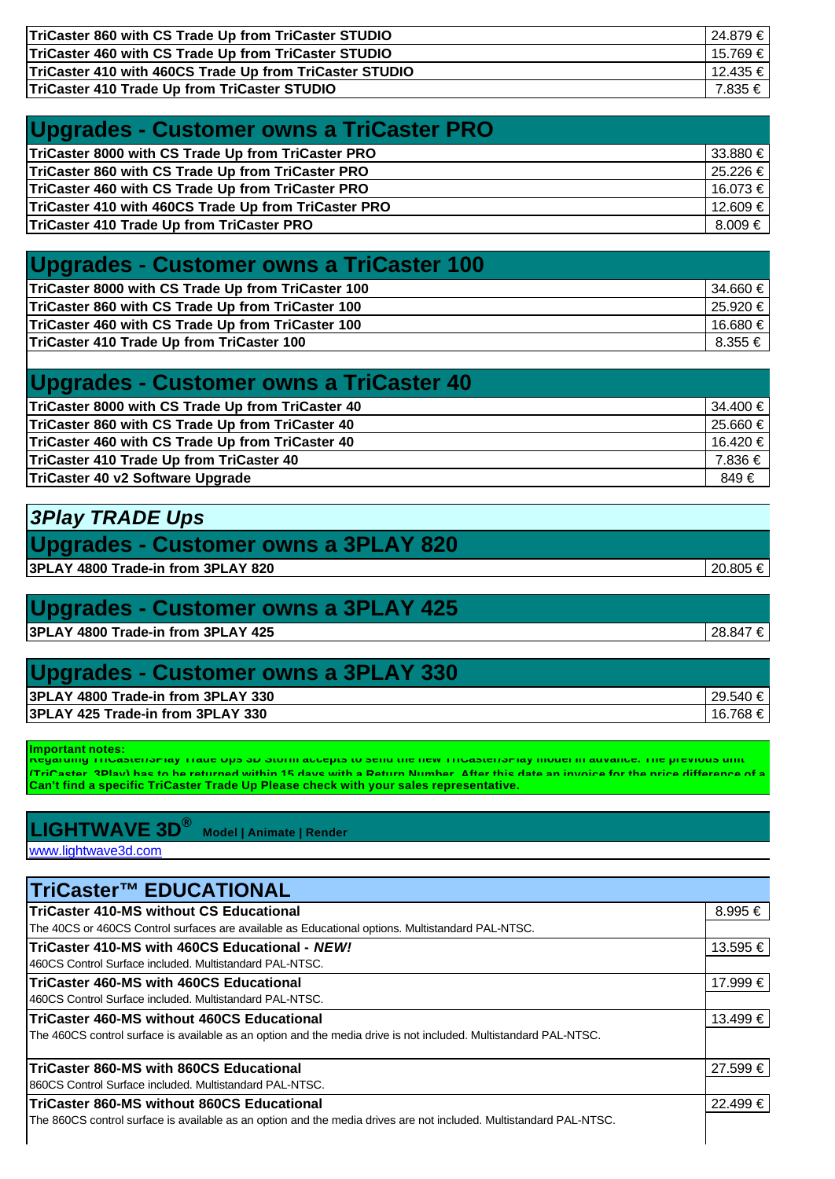| TriCaster 860 with CS Trade Up from TriCaster STUDIO    | 24.879 €  |
|---------------------------------------------------------|-----------|
| TriCaster 460 with CS Trade Up from TriCaster STUDIO    | 15.769 €  |
| TriCaster 410 with 460CS Trade Up from TriCaster STUDIO | 12.435 €  |
| TriCaster 410 Trade Up from TriCaster STUDIO            | 7.835 € 1 |

| Upgrades - Customer owns a TriCaster PRO             |               |
|------------------------------------------------------|---------------|
| TriCaster 8000 with CS Trade Up from TriCaster PRO   | 33.880 €      |
| TriCaster 860 with CS Trade Up from TriCaster PRO    | 25.226 €      |
| TriCaster 460 with CS Trade Up from TriCaster PRO    | 16.073 €      |
| TriCaster 410 with 460CS Trade Up from TriCaster PRO | 12.609 €      |
| TriCaster 410 Trade Up from TriCaster PRO            | $8.009 \in I$ |

#### **Upgrades - Customer owns a TriCaster 100**

| TriCaster 8000 with CS Trade Up from TriCaster 100 | $34.660 \in$ |
|----------------------------------------------------|--------------|
| TriCaster 860 with CS Trade Up from TriCaster 100  | 25.920 €     |
| TriCaster 460 with CS Trade Up from TriCaster 100  | 16.680 €     |
| TriCaster 410 Trade Up from TriCaster 100          | $8.355 \in$  |

| Upgrades - Customer owns a TriCaster 40           |              |
|---------------------------------------------------|--------------|
| TriCaster 8000 with CS Trade Up from TriCaster 40 | $34.400 \in$ |
| TriCaster 860 with CS Trade Up from TriCaster 40  | $25.660 \in$ |
| TriCaster 460 with CS Trade Up from TriCaster 40  | 16.420 €     |
| TriCaster 410 Trade Up from TriCaster 40          | 7.836 €      |
| TriCaster 40 v2 Software Upgrade                  | 849 €        |

### *3Play TRADE Ups*

### **Upgrades - Customer owns a 3PLAY 820**

**3PLAY 4800 Trade-in from 3PLAY 820** 20.805 €

### **Upgrades - Customer owns a 3PLAY 425**

**3PLAY 4800 Trade-in from 3PLAY 425** 28.847 €

#### **Upgrades - Customer owns a 3PLAY 330**

| 3PLAY 4800 Trade-in from 3PLAY 330<br>29.5 |        |
|--------------------------------------------|--------|
|                                            | ∽⊿     |
| 3PLAY 425 Trade-in from 3PLAY 330<br>16.   | .768 € |

**Important notes: Regarding TriCaster/3Play Trade Ups 3D Storm accepts to send the new TriCaster/3Play model in advance. The previous unit Can't find a specific TriCaster Trade Up Please check with your sales representative. (TriCaster, 3Play) has to be returned within 15 days with a Return Number. After this date an invoice for the price difference of a** 

#### **LIGHTWAVE 3D® Model | Animate | Render**

www.lightwave3d.com

| <b>TriCaster™ EDUCATIONAL</b>                                                                                      |          |
|--------------------------------------------------------------------------------------------------------------------|----------|
| TriCaster 410-MS without CS Educational                                                                            | 8.995 €  |
| The 40CS or 460CS Control surfaces are available as Educational options. Multistandard PAL-NTSC.                   |          |
| <b>ITriCaster 410-MS with 460CS Educational - NEW!</b>                                                             | 13.595 € |
| 1460CS Control Surface included. Multistandard PAL-NTSC.                                                           |          |
| <b>ITriCaster 460-MS with 460CS Educational</b>                                                                    | 17.999 € |
| 1460CS Control Surface included. Multistandard PAL-NTSC.                                                           |          |
| <b>ITriCaster 460-MS without 460CS Educational</b>                                                                 | 13.499 € |
| The 460CS control surface is available as an option and the media drive is not included. Multistandard PAL-NTSC.   |          |
| <b>ITriCaster 860-MS with 860CS Educational</b>                                                                    | 27.599 € |
| 1860CS Control Surface included. Multistandard PAL-NTSC.                                                           |          |
| TriCaster 860-MS without 860CS Educational                                                                         | 22.499€  |
| The 860CS control surface is available as an option and the media drives are not included. Multistandard PAL-NTSC. |          |
|                                                                                                                    |          |